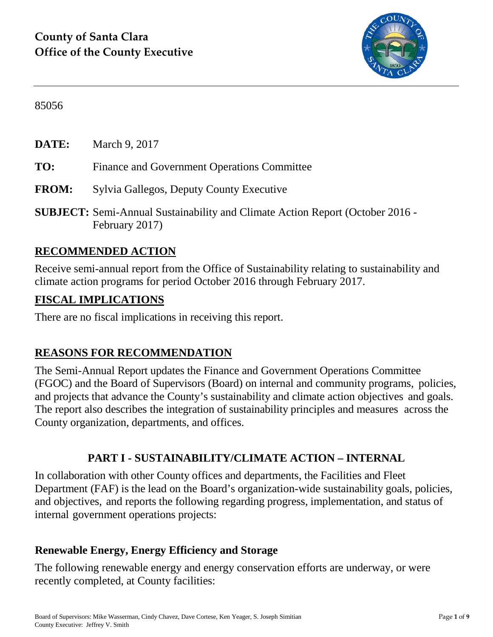

85056

**DATE:** March 9, 2017

- **TO:** Finance and Government Operations Committee
- **FROM:** Sylvia Gallegos, Deputy County Executive
- **SUBJECT:** Semi-Annual Sustainability and Climate Action Report (October 2016 February 2017)

# **RECOMMENDED ACTION**

Receive semi-annual report from the Office of Sustainability relating to sustainability and climate action programs for period October 2016 through February 2017.

### **FISCAL IMPLICATIONS**

There are no fiscal implications in receiving this report.

# **REASONS FOR RECOMMENDATION**

The Semi-Annual Report updates the Finance and Government Operations Committee (FGOC) and the Board of Supervisors (Board) on internal and community programs, policies, and projects that advance the County's sustainability and climate action objectives and goals. The report also describes the integration of sustainability principles and measures across the County organization, departments, and offices.

# **PART I - SUSTAINABILITY/CLIMATE ACTION – INTERNAL**

In collaboration with other County offices and departments, the Facilities and Fleet Department (FAF) is the lead on the Board's organization-wide sustainability goals, policies, and objectives, and reports the following regarding progress, implementation, and status of internal government operations projects:

# **Renewable Energy, Energy Efficiency and Storage**

The following renewable energy and energy conservation efforts are underway, or were recently completed, at County facilities: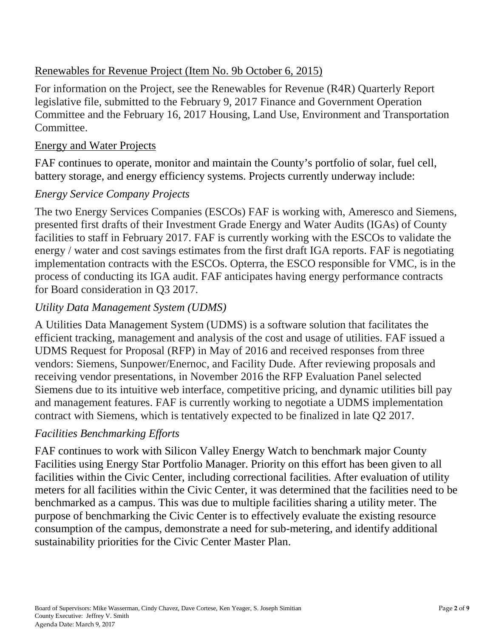#### Renewables for Revenue Project (Item No. 9b October 6, 2015)

For information on the Project, see the Renewables for Revenue (R4R) Quarterly Report legislative file, submitted to the February 9, 2017 Finance and Government Operation Committee and the February 16, 2017 Housing, Land Use, Environment and Transportation Committee.

#### Energy and Water Projects

FAF continues to operate, monitor and maintain the County's portfolio of solar, fuel cell, battery storage, and energy efficiency systems. Projects currently underway include:

### *Energy Service Company Projects*

The two Energy Services Companies (ESCOs) FAF is working with, Ameresco and Siemens, presented first drafts of their Investment Grade Energy and Water Audits (IGAs) of County facilities to staff in February 2017. FAF is currently working with the ESCOs to validate the energy / water and cost savings estimates from the first draft IGA reports. FAF is negotiating implementation contracts with the ESCOs. Opterra, the ESCO responsible for VMC, is in the process of conducting its IGA audit. FAF anticipates having energy performance contracts for Board consideration in Q3 2017.

### *Utility Data Management System (UDMS)*

A Utilities Data Management System (UDMS) is a software solution that facilitates the efficient tracking, management and analysis of the cost and usage of utilities. FAF issued a UDMS Request for Proposal (RFP) in May of 2016 and received responses from three vendors: Siemens, Sunpower/Enernoc, and Facility Dude. After reviewing proposals and receiving vendor presentations, in November 2016 the RFP Evaluation Panel selected Siemens due to its intuitive web interface, competitive pricing, and dynamic utilities bill pay and management features. FAF is currently working to negotiate a UDMS implementation contract with Siemens, which is tentatively expected to be finalized in late Q2 2017.

#### *Facilities Benchmarking Efforts*

FAF continues to work with Silicon Valley Energy Watch to benchmark major County Facilities using Energy Star Portfolio Manager. Priority on this effort has been given to all facilities within the Civic Center, including correctional facilities. After evaluation of utility meters for all facilities within the Civic Center, it was determined that the facilities need to be benchmarked as a campus. This was due to multiple facilities sharing a utility meter. The purpose of benchmarking the Civic Center is to effectively evaluate the existing resource consumption of the campus, demonstrate a need for sub-metering, and identify additional sustainability priorities for the Civic Center Master Plan.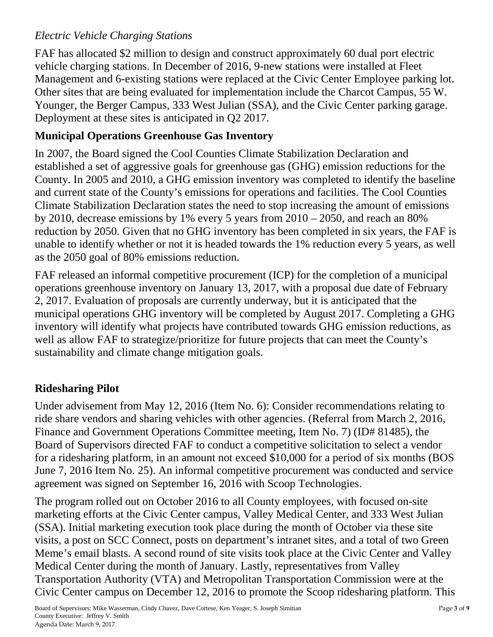# *Electric Vehicle Charging Stations*

FAF has allocated \$2 million to design and construct approximately 60 dual port electric vehicle charging stations. In December of 2016, 9-new stations were installed at Fleet Management and 6-existing stations were replaced at the Civic Center Employee parking lot. Other sites that are being evaluated for implementation include the Charcot Campus, 55 W. Younger, the Berger Campus, 333 West Julian (SSA), and the Civic Center parking garage. Deployment at these sites is anticipated in Q2 2017.

# **Municipal Operations Greenhouse Gas Inventory**

In 2007, the Board signed the Cool Counties Climate Stabilization Declaration and established a set of aggressive goals for greenhouse gas (GHG) emission reductions for the County. In 2005 and 2010, a GHG emission inventory was completed to identify the baseline and current state of the County's emissions for operations and facilities. The Cool Counties Climate Stabilization Declaration states the need to stop increasing the amount of emissions by 2010, decrease emissions by 1% every 5 years from 2010 – 2050, and reach an 80% reduction by 2050. Given that no GHG inventory has been completed in six years, the FAF is unable to identify whether or not it is headed towards the 1% reduction every 5 years, as well as the 2050 goal of 80% emissions reduction.

FAF released an informal competitive procurement (ICP) for the completion of a municipal operations greenhouse inventory on January 13, 2017, with a proposal due date of February 2, 2017. Evaluation of proposals are currently underway, but it is anticipated that the municipal operations GHG inventory will be completed by August 2017. Completing a GHG inventory will identify what projects have contributed towards GHG emission reductions, as well as allow FAF to strategize/prioritize for future projects that can meet the County's sustainability and climate change mitigation goals.

# **Ridesharing Pilot**

Under advisement from May 12, 2016 (Item No. 6): Consider recommendations relating to ride share vendors and sharing vehicles with other agencies. (Referral from March 2, 2016, Finance and Government Operations Committee meeting, Item No. 7) (ID# 81485), the Board of Supervisors directed FAF to conduct a competitive solicitation to select a vendor for a ridesharing platform, in an amount not exceed \$10,000 for a period of six months (BOS June 7, 2016 Item No. 25). An informal competitive procurement was conducted and service agreement was signed on September 16, 2016 with Scoop Technologies.

The program rolled out on October 2016 to all County employees, with focused on-site marketing efforts at the Civic Center campus, Valley Medical Center, and 333 West Julian (SSA). Initial marketing execution took place during the month of October via these site visits, a post on SCC Connect, posts on department's intranet sites, and a total of two Green Meme's email blasts. A second round of site visits took place at the Civic Center and Valley Medical Center during the month of January. Lastly, representatives from Valley Transportation Authority (VTA) and Metropolitan Transportation Commission were at the Civic Center campus on December 12, 2016 to promote the Scoop ridesharing platform. This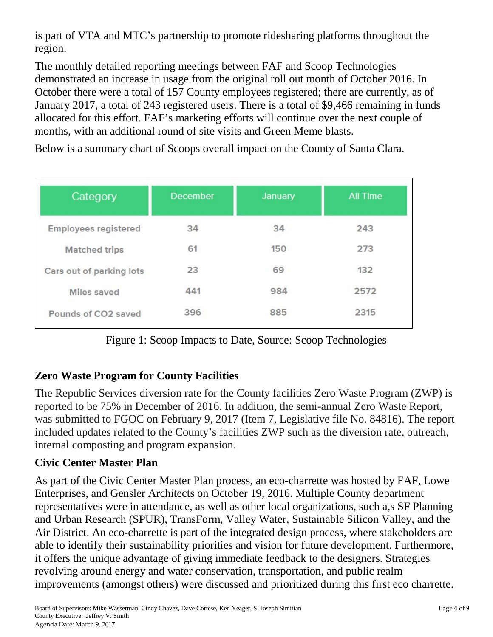is part of VTA and MTC's partnership to promote ridesharing platforms throughout the region.

The monthly detailed reporting meetings between FAF and Scoop Technologies demonstrated an increase in usage from the original roll out month of October 2016. In October there were a total of 157 County employees registered; there are currently, as of January 2017, a total of 243 registered users. There is a total of \$9,466 remaining in funds allocated for this effort. FAF's marketing efforts will continue over the next couple of months, with an additional round of site visits and Green Meme blasts.

Below is a summary chart of Scoops overall impact on the County of Santa Clara.

| Category                    | <b>December</b> | January | <b>All Time</b> |
|-----------------------------|-----------------|---------|-----------------|
| <b>Employees registered</b> | 34              | 34      | 243             |
| <b>Matched trips</b>        | 61              | 150     | 273             |
| Cars out of parking lots    | 23              | 69      | 132             |
| Miles saved                 | 441             | 984     | 2572            |
| Pounds of CO2 saved         | 396             | 885     | 2315            |

Figure 1: Scoop Impacts to Date, Source: Scoop Technologies

# **Zero Waste Program for County Facilities**

The Republic Services diversion rate for the County facilities Zero Waste Program (ZWP) is reported to be 75% in December of 2016. In addition, the semi-annual Zero Waste Report, was submitted to FGOC on February 9, 2017 (Item 7, Legislative file No. 84816). The report included updates related to the County's facilities ZWP such as the diversion rate, outreach, internal composting and program expansion.

# **Civic Center Master Plan**

As part of the Civic Center Master Plan process, an eco-charrette was hosted by FAF, Lowe Enterprises, and Gensler Architects on October 19, 2016. Multiple County department representatives were in attendance, as well as other local organizations, such a,s SF Planning and Urban Research (SPUR), TransForm, Valley Water, Sustainable Silicon Valley, and the Air District. An eco-charrette is part of the integrated design process, where stakeholders are able to identify their sustainability priorities and vision for future development. Furthermore, it offers the unique advantage of giving immediate feedback to the designers. Strategies revolving around energy and water conservation, transportation, and public realm improvements (amongst others) were discussed and prioritized during this first eco charrette.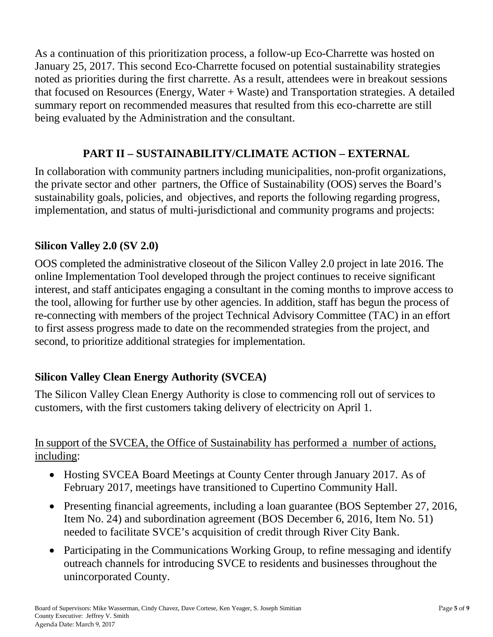As a continuation of this prioritization process, a follow-up Eco-Charrette was hosted on January 25, 2017. This second Eco-Charrette focused on potential sustainability strategies noted as priorities during the first charrette. As a result, attendees were in breakout sessions that focused on Resources (Energy, Water + Waste) and Transportation strategies. A detailed summary report on recommended measures that resulted from this eco-charrette are still being evaluated by the Administration and the consultant.

# **PART II – SUSTAINABILITY/CLIMATE ACTION – EXTERNAL**

In collaboration with community partners including municipalities, non-profit organizations, the private sector and other partners, the Office of Sustainability (OOS) serves the Board's sustainability goals, policies, and objectives, and reports the following regarding progress, implementation, and status of multi-jurisdictional and community programs and projects:

### **Silicon Valley 2.0 (SV 2.0)**

OOS completed the administrative closeout of the Silicon Valley 2.0 project in late 2016. The online Implementation Tool developed through the project continues to receive significant interest, and staff anticipates engaging a consultant in the coming months to improve access to the tool, allowing for further use by other agencies. In addition, staff has begun the process of re-connecting with members of the project Technical Advisory Committee (TAC) in an effort to first assess progress made to date on the recommended strategies from the project, and second, to prioritize additional strategies for implementation.

# **Silicon Valley Clean Energy Authority (SVCEA)**

The Silicon Valley Clean Energy Authority is close to commencing roll out of services to customers, with the first customers taking delivery of electricity on April 1.

#### In support of the SVCEA, the Office of Sustainability has performed a number of actions, including:

- Hosting SVCEA Board Meetings at County Center through January 2017. As of February 2017, meetings have transitioned to Cupertino Community Hall.
- Presenting financial agreements, including a loan guarantee (BOS September 27, 2016, Item No. 24) and subordination agreement (BOS December 6, 2016, Item No. 51) needed to facilitate SVCE's acquisition of credit through River City Bank.
- Participating in the Communications Working Group, to refine messaging and identify outreach channels for introducing SVCE to residents and businesses throughout the unincorporated County.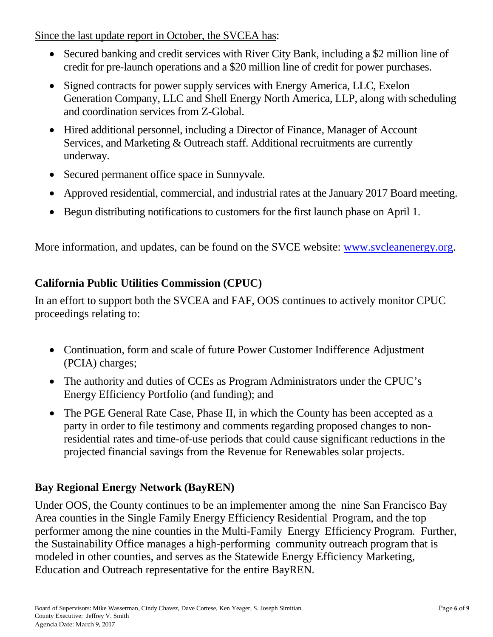Since the last update report in October, the SVCEA has:

- Secured banking and credit services with River City Bank, including a \$2 million line of credit for pre-launch operations and a \$20 million line of credit for power purchases.
- Signed contracts for power supply services with Energy America, LLC, Exelon Generation Company, LLC and Shell Energy North America, LLP, along with scheduling and coordination services from Z-Global.
- Hired additional personnel, including a Director of Finance, Manager of Account Services, and Marketing & Outreach staff. Additional recruitments are currently underway.
- Secured permanent office space in Sunnyvale.
- Approved residential, commercial, and industrial rates at the January 2017 Board meeting.
- Begun distributing notifications to customers for the first launch phase on April 1.

More information, and updates, can be found on the SVCE website: [www.svcleanenergy.org.](http://www.svcleanenergy.org/)

# **California Public Utilities Commission (CPUC)**

In an effort to support both the SVCEA and FAF, OOS continues to actively monitor CPUC proceedings relating to:

- Continuation, form and scale of future Power Customer Indifference Adjustment (PCIA) charges;
- The authority and duties of CCEs as Program Administrators under the CPUC's Energy Efficiency Portfolio (and funding); and
- The PGE General Rate Case, Phase II, in which the County has been accepted as a party in order to file testimony and comments regarding proposed changes to nonresidential rates and time-of-use periods that could cause significant reductions in the projected financial savings from the Revenue for Renewables solar projects.

# **Bay Regional Energy Network (BayREN)**

Under OOS, the County continues to be an implementer among the nine San Francisco Bay Area counties in the Single Family Energy Efficiency Residential Program, and the top performer among the nine counties in the Multi-Family Energy Efficiency Program. Further, the Sustainability Office manages a high-performing community outreach program that is modeled in other counties, and serves as the Statewide Energy Efficiency Marketing, Education and Outreach representative for the entire BayREN.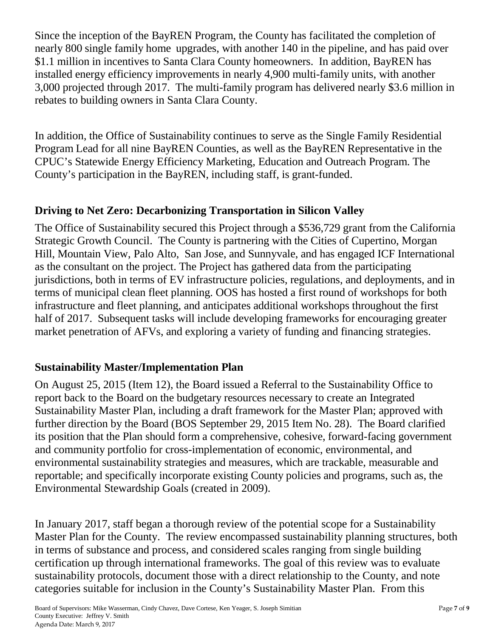Since the inception of the BayREN Program, the County has facilitated the completion of nearly 800 single family home upgrades, with another 140 in the pipeline, and has paid over \$1.1 million in incentives to Santa Clara County homeowners. In addition, BayREN has installed energy efficiency improvements in nearly 4,900 multi-family units, with another 3,000 projected through 2017. The multi-family program has delivered nearly \$3.6 million in rebates to building owners in Santa Clara County.

In addition, the Office of Sustainability continues to serve as the Single Family Residential Program Lead for all nine BayREN Counties, as well as the BayREN Representative in the CPUC's Statewide Energy Efficiency Marketing, Education and Outreach Program. The County's participation in the BayREN, including staff, is grant-funded.

#### **Driving to Net Zero: Decarbonizing Transportation in Silicon Valley**

The Office of Sustainability secured this Project through a \$536,729 grant from the California Strategic Growth Council. The County is partnering with the Cities of Cupertino, Morgan Hill, Mountain View, Palo Alto, San Jose, and Sunnyvale, and has engaged ICF International as the consultant on the project. The Project has gathered data from the participating jurisdictions, both in terms of EV infrastructure policies, regulations, and deployments, and in terms of municipal clean fleet planning. OOS has hosted a first round of workshops for both infrastructure and fleet planning, and anticipates additional workshops throughout the first half of 2017. Subsequent tasks will include developing frameworks for encouraging greater market penetration of AFVs, and exploring a variety of funding and financing strategies.

#### **Sustainability Master/Implementation Plan**

On August 25, 2015 (Item 12), the Board issued a Referral to the Sustainability Office to report back to the Board on the budgetary resources necessary to create an Integrated Sustainability Master Plan, including a draft framework for the Master Plan; approved with further direction by the Board (BOS September 29, 2015 Item No. 28). The Board clarified its position that the Plan should form a comprehensive, cohesive, forward-facing government and community portfolio for cross-implementation of economic, environmental, and environmental sustainability strategies and measures, which are trackable, measurable and reportable; and specifically incorporate existing County policies and programs, such as, the Environmental Stewardship Goals (created in 2009).

In January 2017, staff began a thorough review of the potential scope for a Sustainability Master Plan for the County. The review encompassed sustainability planning structures, both in terms of substance and process, and considered scales ranging from single building certification up through international frameworks. The goal of this review was to evaluate sustainability protocols, document those with a direct relationship to the County, and note categories suitable for inclusion in the County's Sustainability Master Plan. From this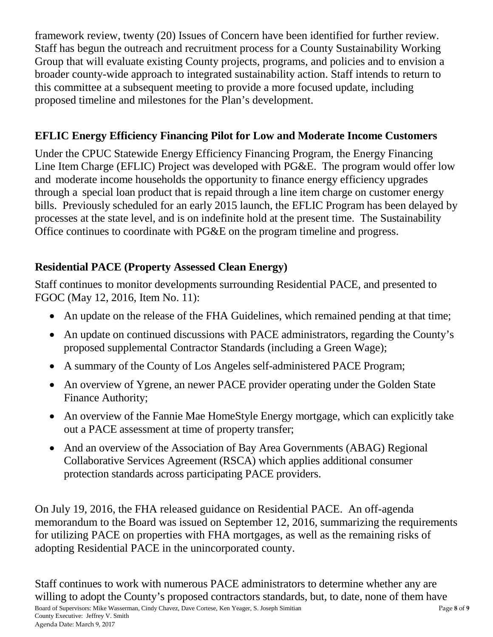framework review, twenty (20) Issues of Concern have been identified for further review. Staff has begun the outreach and recruitment process for a County Sustainability Working Group that will evaluate existing County projects, programs, and policies and to envision a broader county-wide approach to integrated sustainability action. Staff intends to return to this committee at a subsequent meeting to provide a more focused update, including proposed timeline and milestones for the Plan's development.

# **EFLIC Energy Efficiency Financing Pilot for Low and Moderate Income Customers**

Under the CPUC Statewide Energy Efficiency Financing Program, the Energy Financing Line Item Charge (EFLIC) Project was developed with PG&E. The program would offer low and moderate income households the opportunity to finance energy efficiency upgrades through a special loan product that is repaid through a line item charge on customer energy bills. Previously scheduled for an early 2015 launch, the EFLIC Program has been delayed by processes at the state level, and is on indefinite hold at the present time. The Sustainability Office continues to coordinate with PG&E on the program timeline and progress.

# **Residential PACE (Property Assessed Clean Energy)**

Staff continues to monitor developments surrounding Residential PACE, and presented to FGOC (May 12, 2016, Item No. 11):

- An update on the release of the FHA Guidelines, which remained pending at that time;
- An update on continued discussions with PACE administrators, regarding the County's proposed supplemental Contractor Standards (including a Green Wage);
- A summary of the County of Los Angeles self-administered PACE Program;
- An overview of Ygrene, an newer PACE provider operating under the Golden State Finance Authority;
- An overview of the Fannie Mae HomeStyle Energy mortgage, which can explicitly take out a PACE assessment at time of property transfer;
- And an overview of the Association of Bay Area Governments (ABAG) Regional Collaborative Services Agreement (RSCA) which applies additional consumer protection standards across participating PACE providers.

On July 19, 2016, the FHA released guidance on Residential PACE. An off-agenda memorandum to the Board was issued on September 12, 2016, summarizing the requirements for utilizing PACE on properties with FHA mortgages, as well as the remaining risks of adopting Residential PACE in the unincorporated county.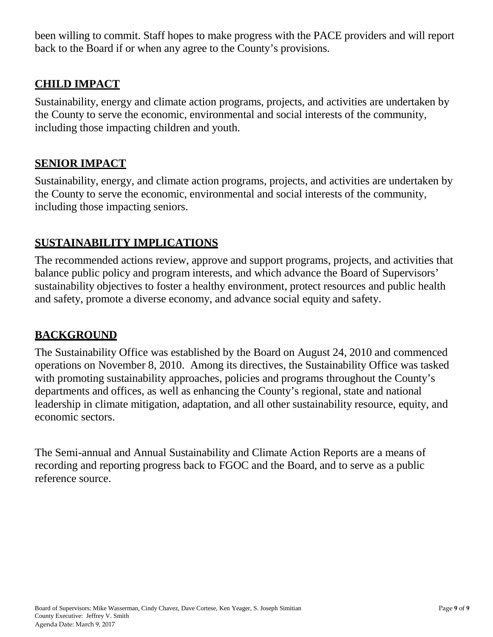been willing to commit. Staff hopes to make progress with the PACE providers and will report back to the Board if or when any agree to the County's provisions.

#### **CHILD IMPACT**

Sustainability, energy and climate action programs, projects, and activities are undertaken by the County to serve the economic, environmental and social interests of the community, including those impacting children and youth.

#### **SENIOR IMPACT**

Sustainability, energy, and climate action programs, projects, and activities are undertaken by the County to serve the economic, environmental and social interests of the community, including those impacting seniors.

#### **SUSTAINABILITY IMPLICATIONS**

The recommended actions review, approve and support programs, projects, and activities that balance public policy and program interests, and which advance the Board of Supervisors' sustainability objectives to foster a healthy environment, protect resources and public health and safety, promote a diverse economy, and advance social equity and safety.

#### **BACKGROUND**

The Sustainability Office was established by the Board on August 24, 2010 and commenced operations on November 8, 2010. Among its directives, the Sustainability Office was tasked with promoting sustainability approaches, policies and programs throughout the County's departments and offices, as well as enhancing the County's regional, state and national leadership in climate mitigation, adaptation, and all other sustainability resource, equity, and economic sectors.

The Semi-annual and Annual Sustainability and Climate Action Reports are a means of recording and reporting progress back to FGOC and the Board, and to serve as a public reference source.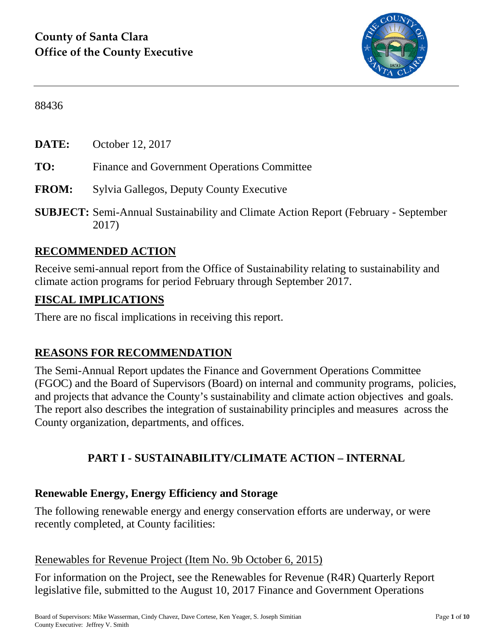

88436

**DATE:** October 12, 2017

- **TO:** Finance and Government Operations Committee
- **FROM:** Sylvia Gallegos, Deputy County Executive
- **SUBJECT:** Semi-Annual Sustainability and Climate Action Report (February September 2017)

# **RECOMMENDED ACTION**

Receive semi-annual report from the Office of Sustainability relating to sustainability and climate action programs for period February through September 2017.

#### **FISCAL IMPLICATIONS**

There are no fiscal implications in receiving this report.

# **REASONS FOR RECOMMENDATION**

The Semi-Annual Report updates the Finance and Government Operations Committee (FGOC) and the Board of Supervisors (Board) on internal and community programs, policies, and projects that advance the County's sustainability and climate action objectives and goals. The report also describes the integration of sustainability principles and measures across the County organization, departments, and offices.

# **PART I - SUSTAINABILITY/CLIMATE ACTION – INTERNAL**

#### **Renewable Energy, Energy Efficiency and Storage**

The following renewable energy and energy conservation efforts are underway, or were recently completed, at County facilities:

#### Renewables for Revenue Project (Item No. 9b October 6, 2015)

For information on the Project, see the Renewables for Revenue (R4R) Quarterly Report legislative file, submitted to the August 10, 2017 Finance and Government Operations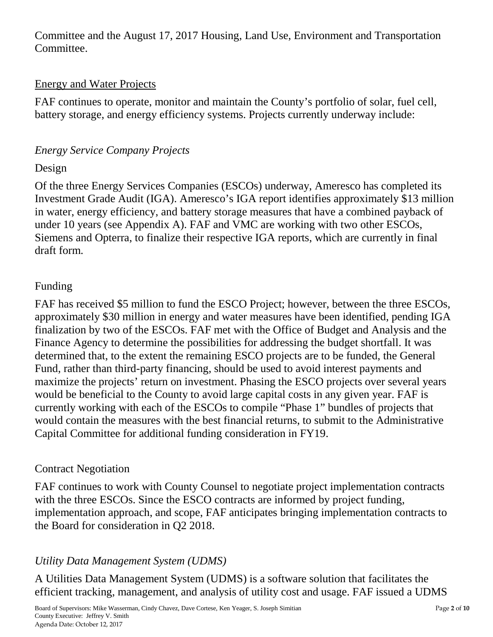Committee and the August 17, 2017 Housing, Land Use, Environment and Transportation Committee.

#### Energy and Water Projects

FAF continues to operate, monitor and maintain the County's portfolio of solar, fuel cell, battery storage, and energy efficiency systems. Projects currently underway include:

### *Energy Service Company Projects*

#### Design

Of the three Energy Services Companies (ESCOs) underway, Ameresco has completed its Investment Grade Audit (IGA). Ameresco's IGA report identifies approximately \$13 million in water, energy efficiency, and battery storage measures that have a combined payback of under 10 years (see Appendix A). FAF and VMC are working with two other ESCOs, Siemens and Opterra, to finalize their respective IGA reports, which are currently in final draft form.

### Funding

FAF has received \$5 million to fund the ESCO Project; however, between the three ESCOs, approximately \$30 million in energy and water measures have been identified, pending IGA finalization by two of the ESCOs. FAF met with the Office of Budget and Analysis and the Finance Agency to determine the possibilities for addressing the budget shortfall. It was determined that, to the extent the remaining ESCO projects are to be funded, the General Fund, rather than third-party financing, should be used to avoid interest payments and maximize the projects' return on investment. Phasing the ESCO projects over several years would be beneficial to the County to avoid large capital costs in any given year. FAF is currently working with each of the ESCOs to compile "Phase 1" bundles of projects that would contain the measures with the best financial returns, to submit to the Administrative Capital Committee for additional funding consideration in FY19.

#### Contract Negotiation

FAF continues to work with County Counsel to negotiate project implementation contracts with the three ESCOs. Since the ESCO contracts are informed by project funding, implementation approach, and scope, FAF anticipates bringing implementation contracts to the Board for consideration in Q2 2018.

# *Utility Data Management System (UDMS)*

A Utilities Data Management System (UDMS) is a software solution that facilitates the efficient tracking, management, and analysis of utility cost and usage. FAF issued a UDMS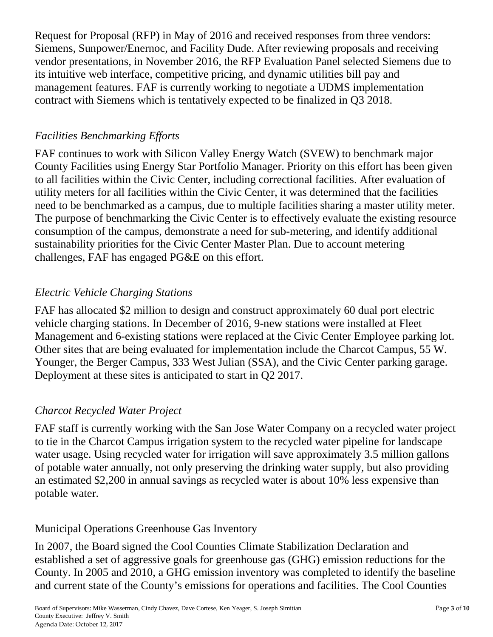Request for Proposal (RFP) in May of 2016 and received responses from three vendors: Siemens, Sunpower/Enernoc, and Facility Dude. After reviewing proposals and receiving vendor presentations, in November 2016, the RFP Evaluation Panel selected Siemens due to its intuitive web interface, competitive pricing, and dynamic utilities bill pay and management features. FAF is currently working to negotiate a UDMS implementation contract with Siemens which is tentatively expected to be finalized in Q3 2018.

### *Facilities Benchmarking Efforts*

FAF continues to work with Silicon Valley Energy Watch (SVEW) to benchmark major County Facilities using Energy Star Portfolio Manager. Priority on this effort has been given to all facilities within the Civic Center, including correctional facilities. After evaluation of utility meters for all facilities within the Civic Center, it was determined that the facilities need to be benchmarked as a campus, due to multiple facilities sharing a master utility meter. The purpose of benchmarking the Civic Center is to effectively evaluate the existing resource consumption of the campus, demonstrate a need for sub-metering, and identify additional sustainability priorities for the Civic Center Master Plan. Due to account metering challenges, FAF has engaged PG&E on this effort.

# *Electric Vehicle Charging Stations*

FAF has allocated \$2 million to design and construct approximately 60 dual port electric vehicle charging stations. In December of 2016, 9-new stations were installed at Fleet Management and 6-existing stations were replaced at the Civic Center Employee parking lot. Other sites that are being evaluated for implementation include the Charcot Campus, 55 W. Younger, the Berger Campus, 333 West Julian (SSA), and the Civic Center parking garage. Deployment at these sites is anticipated to start in Q2 2017.

# *Charcot Recycled Water Project*

FAF staff is currently working with the San Jose Water Company on a recycled water project to tie in the Charcot Campus irrigation system to the recycled water pipeline for landscape water usage. Using recycled water for irrigation will save approximately 3.5 million gallons of potable water annually, not only preserving the drinking water supply, but also providing an estimated \$2,200 in annual savings as recycled water is about 10% less expensive than potable water.

# Municipal Operations Greenhouse Gas Inventory

In 2007, the Board signed the Cool Counties Climate Stabilization Declaration and established a set of aggressive goals for greenhouse gas (GHG) emission reductions for the County. In 2005 and 2010, a GHG emission inventory was completed to identify the baseline and current state of the County's emissions for operations and facilities. The Cool Counties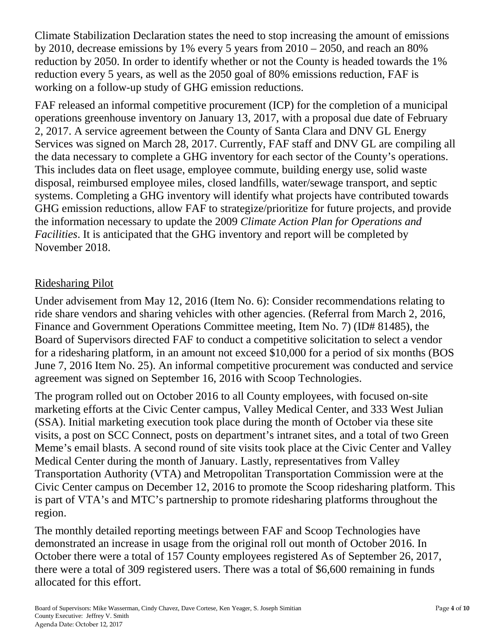Climate Stabilization Declaration states the need to stop increasing the amount of emissions by 2010, decrease emissions by 1% every 5 years from 2010 – 2050, and reach an 80% reduction by 2050. In order to identify whether or not the County is headed towards the 1% reduction every 5 years, as well as the 2050 goal of 80% emissions reduction, FAF is working on a follow-up study of GHG emission reductions.

FAF released an informal competitive procurement (ICP) for the completion of a municipal operations greenhouse inventory on January 13, 2017, with a proposal due date of February 2, 2017. A service agreement between the County of Santa Clara and DNV GL Energy Services was signed on March 28, 2017. Currently, FAF staff and DNV GL are compiling all the data necessary to complete a GHG inventory for each sector of the County's operations. This includes data on fleet usage, employee commute, building energy use, solid waste disposal, reimbursed employee miles, closed landfills, water/sewage transport, and septic systems. Completing a GHG inventory will identify what projects have contributed towards GHG emission reductions, allow FAF to strategize/prioritize for future projects, and provide the information necessary to update the 2009 *Climate Action Plan for Operations and Facilities*. It is anticipated that the GHG inventory and report will be completed by November 2018.

#### Ridesharing Pilot

Under advisement from May 12, 2016 (Item No. 6): Consider recommendations relating to ride share vendors and sharing vehicles with other agencies. (Referral from March 2, 2016, Finance and Government Operations Committee meeting, Item No. 7) (ID# 81485), the Board of Supervisors directed FAF to conduct a competitive solicitation to select a vendor for a ridesharing platform, in an amount not exceed \$10,000 for a period of six months (BOS June 7, 2016 Item No. 25). An informal competitive procurement was conducted and service agreement was signed on September 16, 2016 with Scoop Technologies.

The program rolled out on October 2016 to all County employees, with focused on-site marketing efforts at the Civic Center campus, Valley Medical Center, and 333 West Julian (SSA). Initial marketing execution took place during the month of October via these site visits, a post on SCC Connect, posts on department's intranet sites, and a total of two Green Meme's email blasts. A second round of site visits took place at the Civic Center and Valley Medical Center during the month of January. Lastly, representatives from Valley Transportation Authority (VTA) and Metropolitan Transportation Commission were at the Civic Center campus on December 12, 2016 to promote the Scoop ridesharing platform. This is part of VTA's and MTC's partnership to promote ridesharing platforms throughout the region.

The monthly detailed reporting meetings between FAF and Scoop Technologies have demonstrated an increase in usage from the original roll out month of October 2016. In October there were a total of 157 County employees registered As of September 26, 2017, there were a total of 309 registered users. There was a total of \$6,600 remaining in funds allocated for this effort.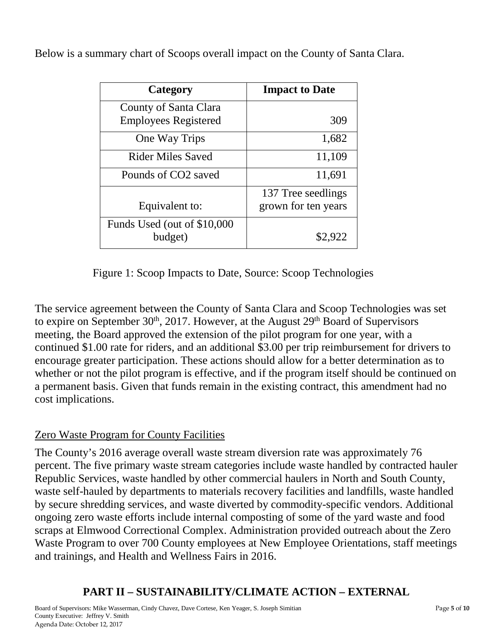Below is a summary chart of Scoops overall impact on the County of Santa Clara.

| Category                                             | <b>Impact to Date</b>                     |  |
|------------------------------------------------------|-------------------------------------------|--|
| County of Santa Clara<br><b>Employees Registered</b> | 309                                       |  |
| One Way Trips                                        | 1,682                                     |  |
| <b>Rider Miles Saved</b>                             | 11,109                                    |  |
| Pounds of CO <sub>2</sub> saved                      | 11,691                                    |  |
| Equivalent to:                                       | 137 Tree seedlings<br>grown for ten years |  |
| Funds Used (out of \$10,000<br>budget)               | \$2,922                                   |  |

Figure 1: Scoop Impacts to Date, Source: Scoop Technologies

The service agreement between the County of Santa Clara and Scoop Technologies was set to expire on September  $30<sup>th</sup>$ , 2017. However, at the August  $29<sup>th</sup>$  Board of Supervisors meeting, the Board approved the extension of the pilot program for one year, with a continued \$1.00 rate for riders, and an additional \$3.00 per trip reimbursement for drivers to encourage greater participation. These actions should allow for a better determination as to whether or not the pilot program is effective, and if the program itself should be continued on a permanent basis. Given that funds remain in the existing contract, this amendment had no cost implications.

# Zero Waste Program for County Facilities

The County's 2016 average overall waste stream diversion rate was approximately 76 percent. The five primary waste stream categories include waste handled by contracted hauler Republic Services, waste handled by other commercial haulers in North and South County, waste self-hauled by departments to materials recovery facilities and landfills, waste handled by secure shredding services, and waste diverted by commodity-specific vendors. Additional ongoing zero waste efforts include internal composting of some of the yard waste and food scraps at Elmwood Correctional Complex. Administration provided outreach about the Zero Waste Program to over 700 County employees at New Employee Orientations, staff meetings and trainings, and Health and Wellness Fairs in 2016.

# **PART II – SUSTAINABILITY/CLIMATE ACTION – EXTERNAL**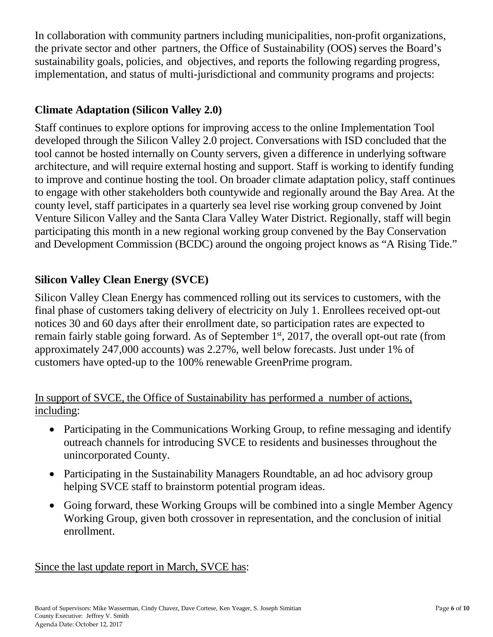In collaboration with community partners including municipalities, non-profit organizations, the private sector and other partners, the Office of Sustainability (OOS) serves the Board's sustainability goals, policies, and objectives, and reports the following regarding progress, implementation, and status of multi-jurisdictional and community programs and projects:

### **Climate Adaptation (Silicon Valley 2.0)**

Staff continues to explore options for improving access to the online Implementation Tool developed through the Silicon Valley 2.0 project. Conversations with ISD concluded that the tool cannot be hosted internally on County servers, given a difference in underlying software architecture, and will require external hosting and support. Staff is working to identify funding to improve and continue hosting the tool. On broader climate adaptation policy, staff continues to engage with other stakeholders both countywide and regionally around the Bay Area. At the county level, staff participates in a quarterly sea level rise working group convened by Joint Venture Silicon Valley and the Santa Clara Valley Water District. Regionally, staff will begin participating this month in a new regional working group convened by the Bay Conservation and Development Commission (BCDC) around the ongoing project knows as "A Rising Tide."

### **Silicon Valley Clean Energy (SVCE)**

Silicon Valley Clean Energy has commenced rolling out its services to customers, with the final phase of customers taking delivery of electricity on July 1. Enrollees received opt-out notices 30 and 60 days after their enrollment date, so participation rates are expected to remain fairly stable going forward. As of September  $1<sup>st</sup>$ , 2017, the overall opt-out rate (from approximately 247,000 accounts) was 2.27%, well below forecasts. Just under 1% of customers have opted-up to the 100% renewable GreenPrime program.

#### In support of SVCE, the Office of Sustainability has performed a number of actions, including:

- Participating in the Communications Working Group, to refine messaging and identify outreach channels for introducing SVCE to residents and businesses throughout the unincorporated County.
- Participating in the Sustainability Managers Roundtable, an ad hoc advisory group helping SVCE staff to brainstorm potential program ideas.
- Going forward, these Working Groups will be combined into a single Member Agency Working Group, given both crossover in representation, and the conclusion of initial enrollment.

Since the last update report in March, SVCE has: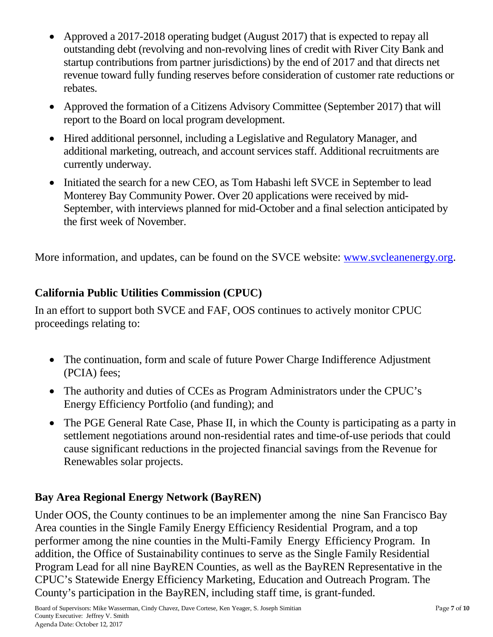- Approved a 2017-2018 operating budget (August 2017) that is expected to repay all outstanding debt (revolving and non-revolving lines of credit with River City Bank and startup contributions from partner jurisdictions) by the end of 2017 and that directs net revenue toward fully funding reserves before consideration of customer rate reductions or rebates.
- Approved the formation of a Citizens Advisory Committee (September 2017) that will report to the Board on local program development.
- Hired additional personnel, including a Legislative and Regulatory Manager, and additional marketing, outreach, and account services staff. Additional recruitments are currently underway.
- Initiated the search for a new CEO, as Tom Habashi left SVCE in September to lead Monterey Bay Community Power. Over 20 applications were received by mid-September, with interviews planned for mid-October and a final selection anticipated by the first week of November.

More information, and updates, can be found on the SVCE website: [www.svcleanenergy.org.](http://www.svcleanenergy.org/)

# **California Public Utilities Commission (CPUC)**

In an effort to support both SVCE and FAF, OOS continues to actively monitor CPUC proceedings relating to:

- The continuation, form and scale of future Power Charge Indifference Adjustment (PCIA) fees;
- The authority and duties of CCEs as Program Administrators under the CPUC's Energy Efficiency Portfolio (and funding); and
- The PGE General Rate Case, Phase II, in which the County is participating as a party in settlement negotiations around non-residential rates and time-of-use periods that could cause significant reductions in the projected financial savings from the Revenue for Renewables solar projects.

#### **Bay Area Regional Energy Network (BayREN)**

Under OOS, the County continues to be an implementer among the nine San Francisco Bay Area counties in the Single Family Energy Efficiency Residential Program, and a top performer among the nine counties in the Multi-Family Energy Efficiency Program. In addition, the Office of Sustainability continues to serve as the Single Family Residential Program Lead for all nine BayREN Counties, as well as the BayREN Representative in the CPUC's Statewide Energy Efficiency Marketing, Education and Outreach Program. The County's participation in the BayREN, including staff time, is grant-funded.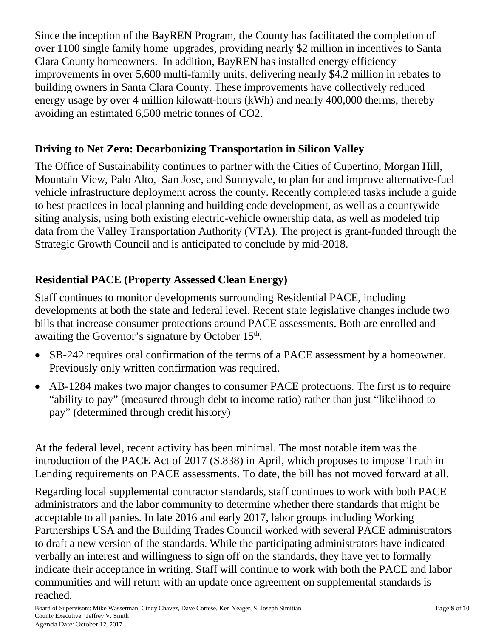Since the inception of the BayREN Program, the County has facilitated the completion of over 1100 single family home upgrades, providing nearly \$2 million in incentives to Santa Clara County homeowners. In addition, BayREN has installed energy efficiency improvements in over 5,600 multi-family units, delivering nearly \$4.2 million in rebates to building owners in Santa Clara County. These improvements have collectively reduced energy usage by over 4 million kilowatt-hours (kWh) and nearly 400,000 therms, thereby avoiding an estimated 6,500 metric tonnes of CO2.

### **Driving to Net Zero: Decarbonizing Transportation in Silicon Valley**

The Office of Sustainability continues to partner with the Cities of Cupertino, Morgan Hill, Mountain View, Palo Alto, San Jose, and Sunnyvale, to plan for and improve alternative-fuel vehicle infrastructure deployment across the county. Recently completed tasks include a guide to best practices in local planning and building code development, as well as a countywide siting analysis, using both existing electric-vehicle ownership data, as well as modeled trip data from the Valley Transportation Authority (VTA). The project is grant-funded through the Strategic Growth Council and is anticipated to conclude by mid-2018.

### **Residential PACE (Property Assessed Clean Energy)**

Staff continues to monitor developments surrounding Residential PACE, including developments at both the state and federal level. Recent state legislative changes include two bills that increase consumer protections around PACE assessments. Both are enrolled and awaiting the Governor's signature by October 15<sup>th</sup>.

- SB-242 requires oral confirmation of the terms of a PACE assessment by a homeowner. Previously only written confirmation was required.
- AB-1284 makes two major changes to consumer PACE protections. The first is to require "ability to pay" (measured through debt to income ratio) rather than just "likelihood to pay" (determined through credit history)

At the federal level, recent activity has been minimal. The most notable item was the introduction of the PACE Act of 2017 (S.838) in April, which proposes to impose Truth in Lending requirements on PACE assessments. To date, the bill has not moved forward at all.

Regarding local supplemental contractor standards, staff continues to work with both PACE administrators and the labor community to determine whether there standards that might be acceptable to all parties. In late 2016 and early 2017, labor groups including Working Partnerships USA and the Building Trades Council worked with several PACE administrators to draft a new version of the standards. While the participating administrators have indicated verbally an interest and willingness to sign off on the standards, they have yet to formally indicate their acceptance in writing. Staff will continue to work with both the PACE and labor communities and will return with an update once agreement on supplemental standards is reached.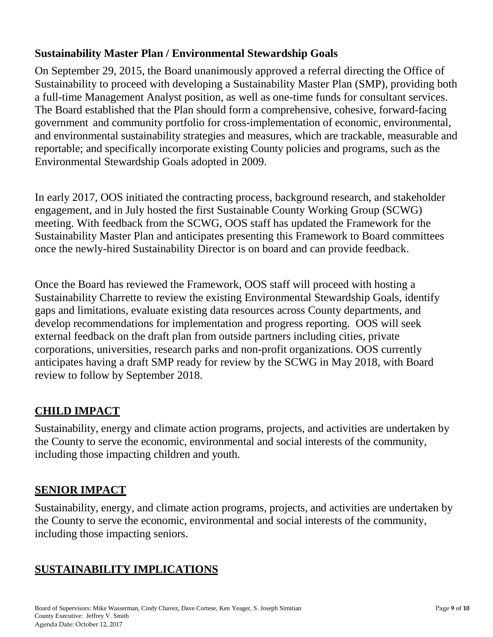#### **Sustainability Master Plan / Environmental Stewardship Goals**

On September 29, 2015, the Board unanimously approved a referral directing the Office of Sustainability to proceed with developing a Sustainability Master Plan (SMP), providing both a full-time Management Analyst position, as well as one-time funds for consultant services. The Board established that the Plan should form a comprehensive, cohesive, forward-facing government and community portfolio for cross-implementation of economic, environmental, and environmental sustainability strategies and measures, which are trackable, measurable and reportable; and specifically incorporate existing County policies and programs, such as the Environmental Stewardship Goals adopted in 2009.

In early 2017, OOS initiated the contracting process, background research, and stakeholder engagement, and in July hosted the first Sustainable County Working Group (SCWG) meeting. With feedback from the SCWG, OOS staff has updated the Framework for the Sustainability Master Plan and anticipates presenting this Framework to Board committees once the newly-hired Sustainability Director is on board and can provide feedback.

Once the Board has reviewed the Framework, OOS staff will proceed with hosting a Sustainability Charrette to review the existing Environmental Stewardship Goals, identify gaps and limitations, evaluate existing data resources across County departments, and develop recommendations for implementation and progress reporting. OOS will seek external feedback on the draft plan from outside partners including cities, private corporations, universities, research parks and non-profit organizations. OOS currently anticipates having a draft SMP ready for review by the SCWG in May 2018, with Board review to follow by September 2018.

# **CHILD IMPACT**

Sustainability, energy and climate action programs, projects, and activities are undertaken by the County to serve the economic, environmental and social interests of the community, including those impacting children and youth.

# **SENIOR IMPACT**

Sustainability, energy, and climate action programs, projects, and activities are undertaken by the County to serve the economic, environmental and social interests of the community, including those impacting seniors.

# **SUSTAINABILITY IMPLICATIONS**